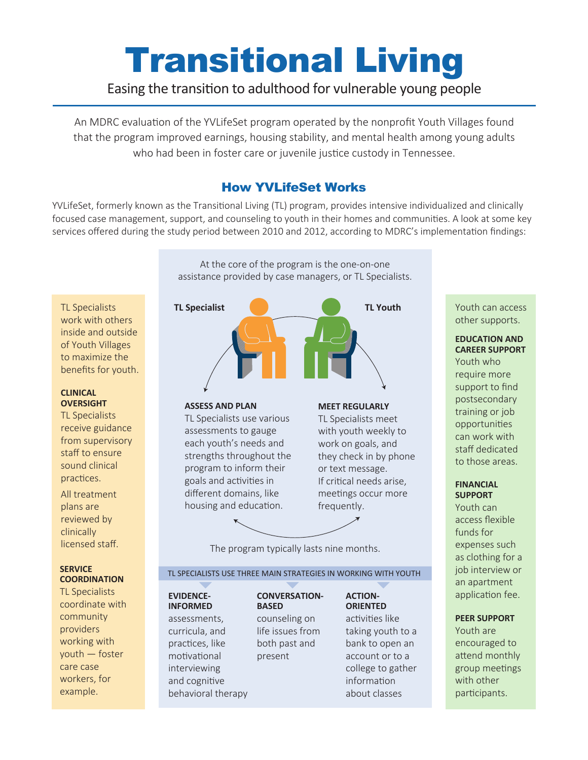# Transitional Living

# Easing the transition to adulthood for vulnerable young people

An MDRC evaluation of the YVLifeSet program operated by the nonprofit Youth Villages found that the program improved earnings, housing stability, and mental health among young adults who had been in foster care or juvenile justice custody in Tennessee.

## How YVLifeSet Works

YVLifeSet, formerly known as the Transitional Living (TL) program, provides intensive individualized and clinically focused case management, support, and counseling to youth in their homes and communities. A look at some key services offered during the study period between 2010 and 2012, according to MDRC's implementation findings:

> At the core of the program is the one-on-one assistance provided by case managers, or TL Specialists.

TL Specialists work with others inside and outside of Youth Villages to maximize the benefits for youth.

#### **CLINICAL OVERSIGHT**

TL Specialists receive guidance from supervisory staff to ensure sound clinical practices.

All treatment plans are reviewed by clinically licensed staff.

#### **SERVICE COORDINATION**

TL Specialists coordinate with community providers working with youth — foster care case workers, for example.



**ASSESS AND PLAN**

TL Specialists use various assessments to gauge each youth's needs and strengths throughout the program to inform their goals and activities in different domains, like housing and education.

### **MEET REGULARLY**

TL Specialists meet with youth weekly to work on goals, and they check in by phone or text message. If critical needs arise, meetings occur more frequently.

The program typically lasts nine months.

#### TL SPECIALISTS USE THREE MAIN STRATEGIES IN WORKING WITH YOUTH

**CONVERSATION-**

present

#### **EVIDENCE-INFORMED**

assessments, curricula, and practices, like motivational interviewing and cognitive behavioral therapy **BASED**  counseling on life issues from both past and

activities like taking youth to a bank to open an account or to a college to gather information about classes

**ACTION-ORIENTED** Youth can access other supports.

#### **EDUCATION AND CAREER SUPPORT**

Youth who require more support to find postsecondary training or job opportunities can work with staff dedicated to those areas.

#### **FINANCIAL SUPPORT**

Youth can access flexible funds for expenses such as clothing for a job interview or an apartment application fee.

### **PEER SUPPORT**

Youth are encouraged to attend monthly group meetings with other participants.